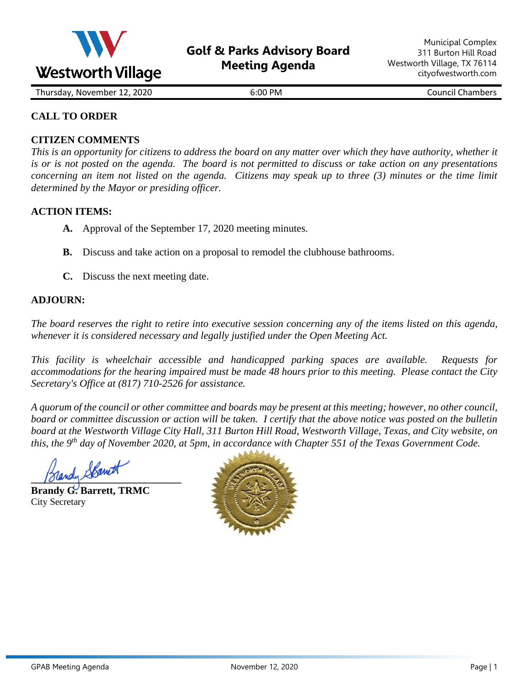

Thursday, November 12, 2020 6:00 PM Council Chambers

## **CALL TO ORDER**

### **CITIZEN COMMENTS**

*This is an opportunity for citizens to address the board on any matter over which they have authority, whether it is or is not posted on the agenda. The board is not permitted to discuss or take action on any presentations concerning an item not listed on the agenda. Citizens may speak up to three (3) minutes or the time limit determined by the Mayor or presiding officer.*

### **ACTION ITEMS:**

- **A.** Approval of the September 17, 2020 meeting minutes.
- **B.** Discuss and take action on a proposal to remodel the clubhouse bathrooms.
- **C.** Discuss the next meeting date.

### **ADJOURN:**

*The board reserves the right to retire into executive session concerning any of the items listed on this agenda, whenever it is considered necessary and legally justified under the Open Meeting Act.*

*This facility is wheelchair accessible and handicapped parking spaces are available. Requests for accommodations for the hearing impaired must be made 48 hours prior to this meeting. Please contact the City Secretary's Office at (817) 710-2526 for assistance.*

*A quorum of the council or other committee and boards may be present at this meeting; however, no other council, board or committee discussion or action will be taken. I certify that the above notice was posted on the bulletin board at the Westworth Village City Hall, 311 Burton Hill Road, Westworth Village, Texas, and City website, on this, the 9<sup>th</sup> day of November 2020, at 5pm, in accordance with Chapter 551 of the Texas Government Code.* 

**Slandy Room** 

**Brandy G. Barrett, TRMC** City Secretary

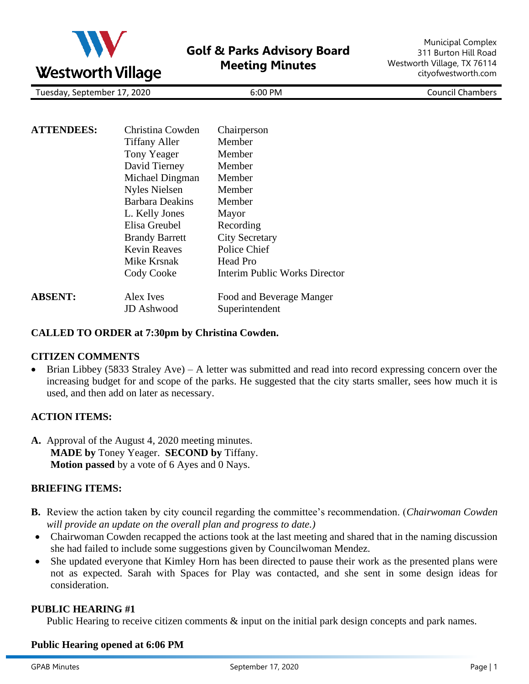

**Golf & Parks Advisory Board Meeting Minutes**

Municipal Complex 311 Burton Hill Road Westworth Village, TX 76114 cityofwestworth.com

Tuesday, September 17, 2020 PM Council Chambers

| <b>ATTENDEES:</b> | Christina Cowden<br><b>Tiffany Aller</b><br>Tony Yeager<br>David Tierney<br>Michael Dingman<br><b>Nyles Nielsen</b><br>Barbara Deakins<br>L. Kelly Jones<br>Elisa Greubel<br><b>Brandy Barrett</b><br><b>Kevin Reaves</b><br>Mike Krsnak<br>Cody Cooke | Chairperson<br><b>Member</b><br>Member<br>Member<br>Member<br>Member<br>Member<br>Mayor<br>Recording<br><b>City Secretary</b><br><b>Police Chief</b><br><b>Head Pro</b><br>Interim Public Works Director |
|-------------------|--------------------------------------------------------------------------------------------------------------------------------------------------------------------------------------------------------------------------------------------------------|----------------------------------------------------------------------------------------------------------------------------------------------------------------------------------------------------------|
| <b>ABSENT:</b>    | Alex Ives<br>JD Ashwood                                                                                                                                                                                                                                | Food and Beverage Manger<br>Superintendent                                                                                                                                                               |

### **CALLED TO ORDER at 7:30pm by Christina Cowden.**

### **CITIZEN COMMENTS**

• Brian Libbey (5833 Straley Ave) – A letter was submitted and read into record expressing concern over the increasing budget for and scope of the parks. He suggested that the city starts smaller, sees how much it is used, and then add on later as necessary.

### **ACTION ITEMS:**

**A.** Approval of the August 4, 2020 meeting minutes. **MADE by** Toney Yeager. **SECOND by** Tiffany. **Motion passed** by a vote of 6 Ayes and 0 Nays.

### **BRIEFING ITEMS:**

- **B.** Review the action taken by city council regarding the committee's recommendation. (*Chairwoman Cowden will provide an update on the overall plan and progress to date.)*
- Chairwoman Cowden recapped the actions took at the last meeting and shared that in the naming discussion she had failed to include some suggestions given by Councilwoman Mendez.
- She updated everyone that Kimley Horn has been directed to pause their work as the presented plans were not as expected. Sarah with Spaces for Play was contacted, and she sent in some design ideas for consideration.

### **PUBLIC HEARING #1**

Public Hearing to receive citizen comments  $\&$  input on the initial park design concepts and park names.

#### **Public Hearing opened at 6:06 PM**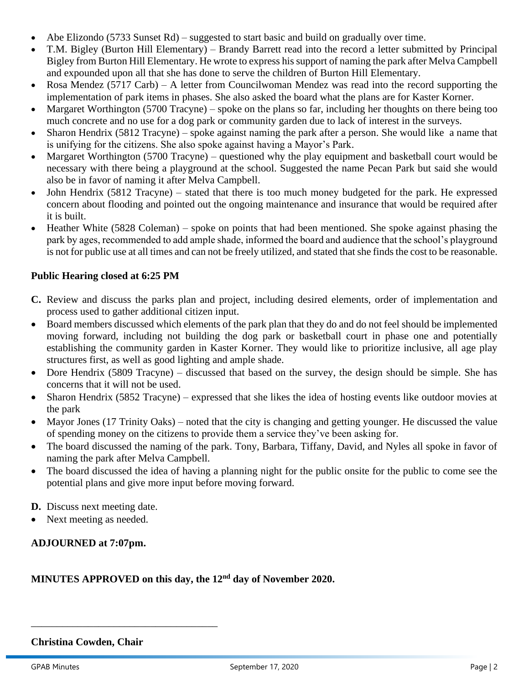- Abe Elizondo (5733 Sunset Rd) suggested to start basic and build on gradually over time.
- T.M. Bigley (Burton Hill Elementary) Brandy Barrett read into the record a letter submitted by Principal Bigley from Burton Hill Elementary. He wrote to express his support of naming the park after Melva Campbell and expounded upon all that she has done to serve the children of Burton Hill Elementary.
- Rosa Mendez (5717 Carb) A letter from Councilwoman Mendez was read into the record supporting the implementation of park items in phases. She also asked the board what the plans are for Kaster Korner.
- Margaret Worthington (5700 Tracyne) spoke on the plans so far, including her thoughts on there being too much concrete and no use for a dog park or community garden due to lack of interest in the surveys.
- Sharon Hendrix (5812 Tracyne) spoke against naming the park after a person. She would like a name that is unifying for the citizens. She also spoke against having a Mayor's Park.
- Margaret Worthington (5700 Tracyne) questioned why the play equipment and basketball court would be necessary with there being a playground at the school. Suggested the name Pecan Park but said she would also be in favor of naming it after Melva Campbell.
- John Hendrix (5812 Tracyne) stated that there is too much money budgeted for the park. He expressed concern about flooding and pointed out the ongoing maintenance and insurance that would be required after it is built.
- Heather White (5828 Coleman) spoke on points that had been mentioned. She spoke against phasing the park by ages, recommended to add ample shade, informed the board and audience that the school's playground is not for public use at all times and can not be freely utilized, and stated that she finds the cost to be reasonable.

## **Public Hearing closed at 6:25 PM**

- **C.** Review and discuss the parks plan and project, including desired elements, order of implementation and process used to gather additional citizen input.
- Board members discussed which elements of the park plan that they do and do not feel should be implemented moving forward, including not building the dog park or basketball court in phase one and potentially establishing the community garden in Kaster Korner. They would like to prioritize inclusive, all age play structures first, as well as good lighting and ample shade.
- Dore Hendrix (5809 Tracyne) discussed that based on the survey, the design should be simple. She has concerns that it will not be used.
- Sharon Hendrix (5852 Tracyne) expressed that she likes the idea of hosting events like outdoor movies at the park
- Mayor Jones (17 Trinity Oaks) noted that the city is changing and getting younger. He discussed the value of spending money on the citizens to provide them a service they've been asking for.
- The board discussed the naming of the park. Tony, Barbara, Tiffany, David, and Nyles all spoke in favor of naming the park after Melva Campbell.
- The board discussed the idea of having a planning night for the public onsite for the public to come see the potential plans and give more input before moving forward.

**D.** Discuss next meeting date.

• Next meeting as needed.

## **ADJOURNED at 7:07pm.**

## **MINUTES APPROVED on this day, the 12nd day of November 2020.**

### **Christina Cowden, Chair**

\_\_\_\_\_\_\_\_\_\_\_\_\_\_\_\_\_\_\_\_\_\_\_\_\_\_\_\_\_\_\_\_\_\_\_\_